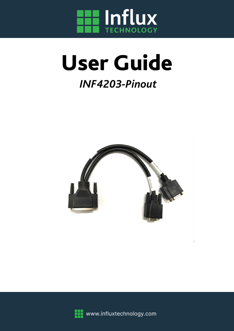

# User Guide

# *INF4203-Pinout*





www.influxtechnology.com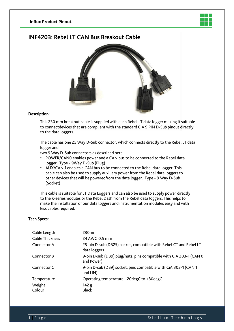

#### INF4203: Rebel LT CAN Bus Breakout Cable



#### Description:

This 230 mm breakout cable is supplied with each Rebel LT data logger making it suitable to connectdevices that are compliant with the standard CIA 9 PIN D-Sub pinout directly to the data loggers.

The cable has one 25 Way D-Sub connector, which connects directly to the Rebel LT data logger and

two 9 Way D-Sub connectors as described here:

- POWER/CAN0 enables power and a CAN bus to be connected to the Rebel data logger. Type - 9Way D-Sub (Plug)
- AUX/CAN 1 enables a CAN bus to be connected to the Rebel data logger. This cable can also be used to supply auxiliary power from the Rebel data loggers to other devices that will be poweredfrom the data logger. Type - 9 Way D-Sub (Socket)

This cable is suitable for LT Data Loggers and can also be used to supply power directly to the K-seriesmodules or the Rebel Dash from the Rebel data loggers. This helps to make the installation of our data loggers and instrumentation modules easy and with less cables required.

#### Tech Specs:

| Cable Length           | 230mm                                                                             |
|------------------------|-----------------------------------------------------------------------------------|
| <b>Cable Thickness</b> | 24 AWG 0.5 mm                                                                     |
| Connector A            | 25-pin D-sub (DB25) socket, compatible with Rebel CT and Rebel LT<br>data loggers |
| Connector B            | 9-pin D-sub (DB9) plug/nuts, pins compatible with CiA 303-1 (CAN 0<br>and Power)  |
| Connector C            | 9-pin D-sub (DB9) socket, pins compatible with CiA 303-1 (CAN 1<br>and LIN)       |
| Temperature            | Operating temperature: -20degC to +80degC                                         |
| Weight<br>Colour       | 142 g<br><b>Black</b>                                                             |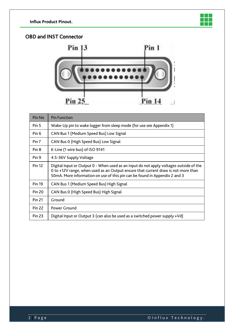

#### OBD and INST Connector



| Pin No           | <b>Pin Function</b>                                                                                                                                                                                                                                       |
|------------------|-----------------------------------------------------------------------------------------------------------------------------------------------------------------------------------------------------------------------------------------------------------|
| Pin <sub>5</sub> | Wake-Up pin to wake logger from sleep mode (for use see Appendix 1)                                                                                                                                                                                       |
| Pin <sub>6</sub> | CAN Bus 1 (Medium Speed Bus) Low Signal                                                                                                                                                                                                                   |
| Pin 7            | CAN Bus 0 (High Speed Bus) Low Signal                                                                                                                                                                                                                     |
| Pin <sub>8</sub> | K-Line (1 wire bus) of ISO 9141                                                                                                                                                                                                                           |
| Pin 9            | 4.5-36V Supply Voltage                                                                                                                                                                                                                                    |
| <b>Pin 12</b>    | Digital Input or Output 0 - When used as an input do not apply voltages outside of the<br>0 to +12V range, when used as an Output ensure that current draw is not more than<br>50mA. More information on use of this pin can be found in Appendix 2 and 3 |
| <b>Pin 19</b>    | CAN Bus 1 (Medium Speed Bus) High Signal                                                                                                                                                                                                                  |
| <b>Pin 20</b>    | CAN Bus 0 (High Speed Bus) High Signal                                                                                                                                                                                                                    |
| <b>Pin 21</b>    | Ground                                                                                                                                                                                                                                                    |
| <b>Pin 22</b>    | Power Ground                                                                                                                                                                                                                                              |
| <b>Pin 23</b>    | Digital Input or Output 3 (can also be used as a switched power supply +Vd)                                                                                                                                                                               |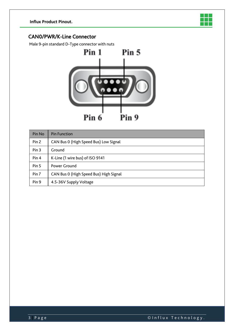

#### CAN0/PWR/K-Line Connector

Male 9-pin standard D-Type connector with nuts



| Pin No           | <b>Pin Function</b>                    |
|------------------|----------------------------------------|
| Pin <sub>2</sub> | CAN Bus 0 (High Speed Bus) Low Signal  |
| Pin <sub>3</sub> | Ground                                 |
| Pin <sub>4</sub> | K-Line (1 wire bus) of ISO 9141        |
| Pin <sub>5</sub> | Power Ground                           |
| Pin 7            | CAN Bus 0 (High Speed Bus) High Signal |
| Pin 9            | 4.5-36V Supply Voltage                 |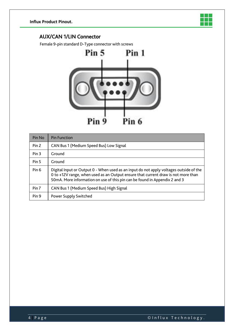

#### AUX/CAN 1/LIN Connector

Female 9-pin standard D-Type connector with screws



| Pin No           | <b>Pin Function</b>                                                                                                                                                                                                                                       |
|------------------|-----------------------------------------------------------------------------------------------------------------------------------------------------------------------------------------------------------------------------------------------------------|
| Pin 2            | CAN Bus 1 (Medium Speed Bus) Low Signal                                                                                                                                                                                                                   |
| Pin 3            | Ground                                                                                                                                                                                                                                                    |
| Pin <sub>5</sub> | Ground                                                                                                                                                                                                                                                    |
| Pin <sub>6</sub> | Digital Input or Output 0 - When used as an input do not apply voltages outside of the<br>0 to +12V range, when used as an Output ensure that current draw is not more than<br>50mA. More information on use of this pin can be found in Appendix 2 and 3 |
| Pin <sub>7</sub> | CAN Bus 1 (Medium Speed Bus) High Signal                                                                                                                                                                                                                  |
| Pin <sub>9</sub> | Power Supply Switched                                                                                                                                                                                                                                     |